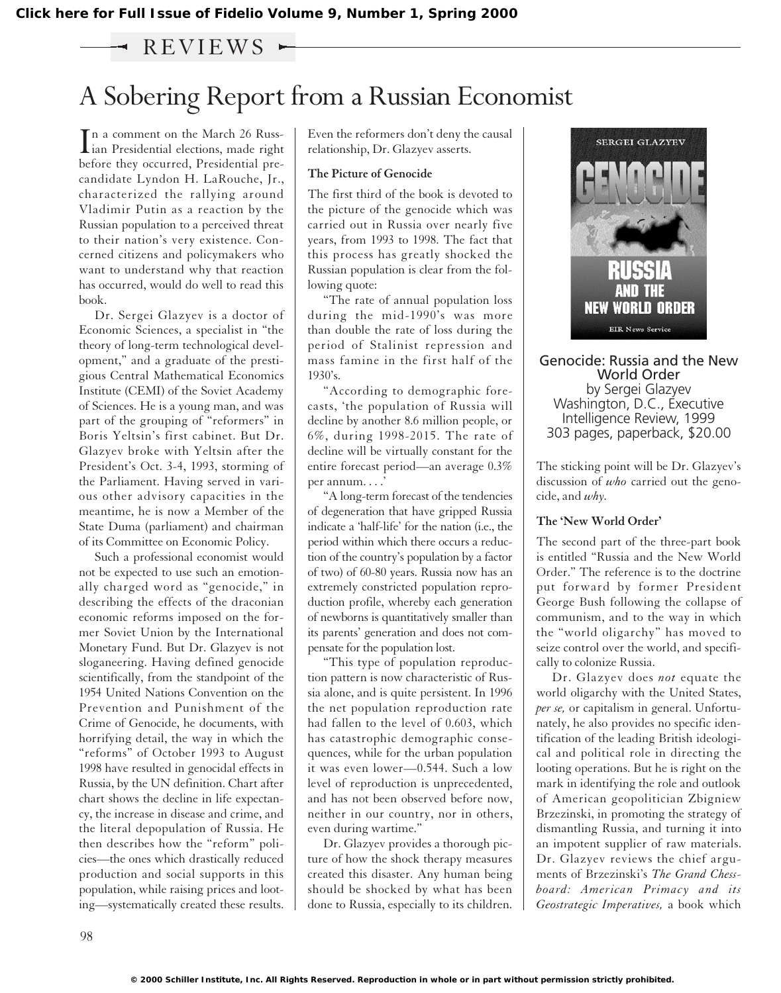### $-$  REVIEWS  $-$

## A Sobering Report from a Russian Economist

In a comment on the March 26 Russ-<br>ian Presidential elections, made right n a comment on the March 26 Russbefore they occurred, Presidential precandidate Lyndon H. LaRouche, Jr., characterized the rallying around Vladimir Putin as a reaction by the Russian population to a perceived threat to their nation's very existence. Concerned citizens and policymakers who want to understand why that reaction has occurred, would do well to read this book.

Dr. Sergei Glazyev is a doctor of Economic Sciences, a specialist in "the theory of long-term technological development," and a graduate of the prestigious Central Mathematical Economics Institute (CEMI) of the Soviet Academy of Sciences. He is a young man, and was part of the grouping of "reformers" in Boris Yeltsin's first cabinet. But Dr. Glazyev broke with Yeltsin after the President's Oct. 3-4, 1993, storming of the Parliament. Having served in various other advisory capacities in the meantime, he is now a Member of the State Duma (parliament) and chairman of its Committee on Economic Policy.

Such a professional economist would not be expected to use such an emotionally charged word as "genocide," in describing the effects of the draconian economic reforms imposed on the former Soviet Union by the International Monetary Fund. But Dr. Glazyev is not sloganeering. Having defined genocide scientifically, from the standpoint of the 1954 United Nations Convention on the Prevention and Punishment of the Crime of Genocide, he documents, with horrifying detail, the way in which the "reforms" of October 1993 to August 1998 have resulted in genocidal effects in Russia, by the UN definition. Chart after chart shows the decline in life expectancy, the increase in disease and crime, and the literal depopulation of Russia. He then describes how the "reform" policies—the ones which drastically reduced production and social supports in this population, while raising prices and looting—systematically created these results.

Even the reformers don't deny the causal relationship, Dr. Glazyev asserts.

### **The Picture of Genocide**

The first third of the book is devoted to the picture of the genocide which was carried out in Russia over nearly five years, from 1993 to 1998. The fact that this process has greatly shocked the Russian population is clear from the following quote:

"The rate of annual population loss during the mid-1990's was more than double the rate of loss during the period of Stalinist repression and mass famine in the first half of the  $1930's$ .

"According to demographic forecasts, 'the population of Russia will decline by another 8.6 million people, or 6%, during 1998-2015. The rate of decline will be virtually constant for the entire forecast period—an average 0.3% per annum. . . .'

"A long-term forecast of the tendencies of degeneration that have gripped Russia indicate a 'half-life' for the nation (i.e., the period within which there occurs a reduction of the country's population by a factor of two) of 60-80 years. Russia now has an extremely constricted population reproduction profile, whereby each generation of newborns is quantitatively smaller than its parents' generation and does not compensate for the population lost.

"This type of population reproduction pattern is now characteristic of Russia alone, and is quite persistent. In 1996 the net population reproduction rate had fallen to the level of 0.603, which has catastrophic demographic consequences, while for the urban population it was even lower—0.544. Such a low level of reproduction is unprecedented, and has not been observed before now, neither in our country, nor in others, even during wartime."

Dr. Glazyev provides a thorough picture of how the shock therapy measures created this disaster. Any human being should be shocked by what has been done to Russia, especially to its children.



Genocide: Russia and the New World Order by Sergei Glazyev Washington, D.C., Executive Intelligence Review, 1999 303 pages, paperback, \$20.00

The sticking point will be Dr. Glazyev's discussion of *who* carried out the genocide, and *why.*

#### **The 'New World Order'**

The second part of the three-part book is entitled "Russia and the New World Order." The reference is to the doctrine put forward by former President George Bush following the collapse of communism, and to the way in which the "world oligarchy" has moved to seize control over the world, and specifically to colonize Russia.

Dr. Glazyev does *not* equate the world oligarchy with the United States, *per se,* or capitalism in general. Unfortunately, he also provides no specific identification of the leading British ideological and political role in directing the looting operations. But he is right on the mark in identifying the role and outlook of American geopolitician Zbigniew Brzezinski, in promoting the strategy of dismantling Russia, and turning it into an impotent supplier of raw materials. Dr. Glazyev reviews the chief arguments of Brzezinski's *The Grand Chessboard: American Primacy and its Geostrategic Imperatives,* a book which